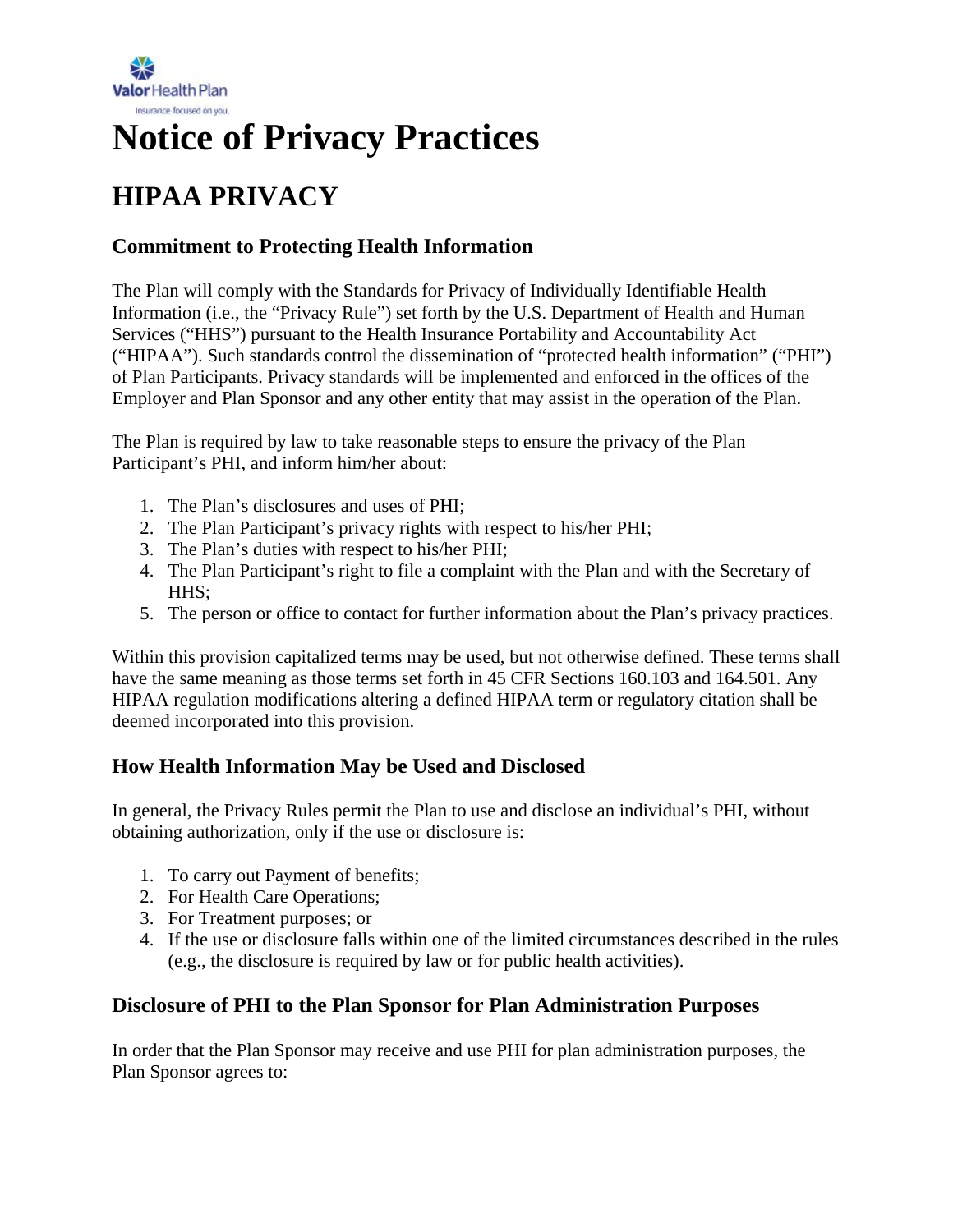

# **Notice of Privacy Practices**

# **HIPAA PRIVACY**

# **Commitment to Protecting Health Information**

The Plan will comply with the Standards for Privacy of Individually Identifiable Health Information (i.e., the "Privacy Rule") set forth by the U.S. Department of Health and Human Services ("HHS") pursuant to the Health Insurance Portability and Accountability Act ("HIPAA"). Such standards control the dissemination of "protected health information" ("PHI") of Plan Participants. Privacy standards will be implemented and enforced in the offices of the Employer and Plan Sponsor and any other entity that may assist in the operation of the Plan.

The Plan is required by law to take reasonable steps to ensure the privacy of the Plan Participant's PHI, and inform him/her about:

- 1. The Plan's disclosures and uses of PHI;
- 2. The Plan Participant's privacy rights with respect to his/her PHI;
- 3. The Plan's duties with respect to his/her PHI;
- 4. The Plan Participant's right to file a complaint with the Plan and with the Secretary of HHS;
- 5. The person or office to contact for further information about the Plan's privacy practices.

Within this provision capitalized terms may be used, but not otherwise defined. These terms shall have the same meaning as those terms set forth in 45 CFR Sections 160.103 and 164.501. Any HIPAA regulation modifications altering a defined HIPAA term or regulatory citation shall be deemed incorporated into this provision.

# **How Health Information May be Used and Disclosed**

In general, the Privacy Rules permit the Plan to use and disclose an individual's PHI, without obtaining authorization, only if the use or disclosure is:

- 1. To carry out Payment of benefits;
- 2. For Health Care Operations;
- 3. For Treatment purposes; or
- 4. If the use or disclosure falls within one of the limited circumstances described in the rules (e.g., the disclosure is required by law or for public health activities).

# **Disclosure of PHI to the Plan Sponsor for Plan Administration Purposes**

In order that the Plan Sponsor may receive and use PHI for plan administration purposes, the Plan Sponsor agrees to: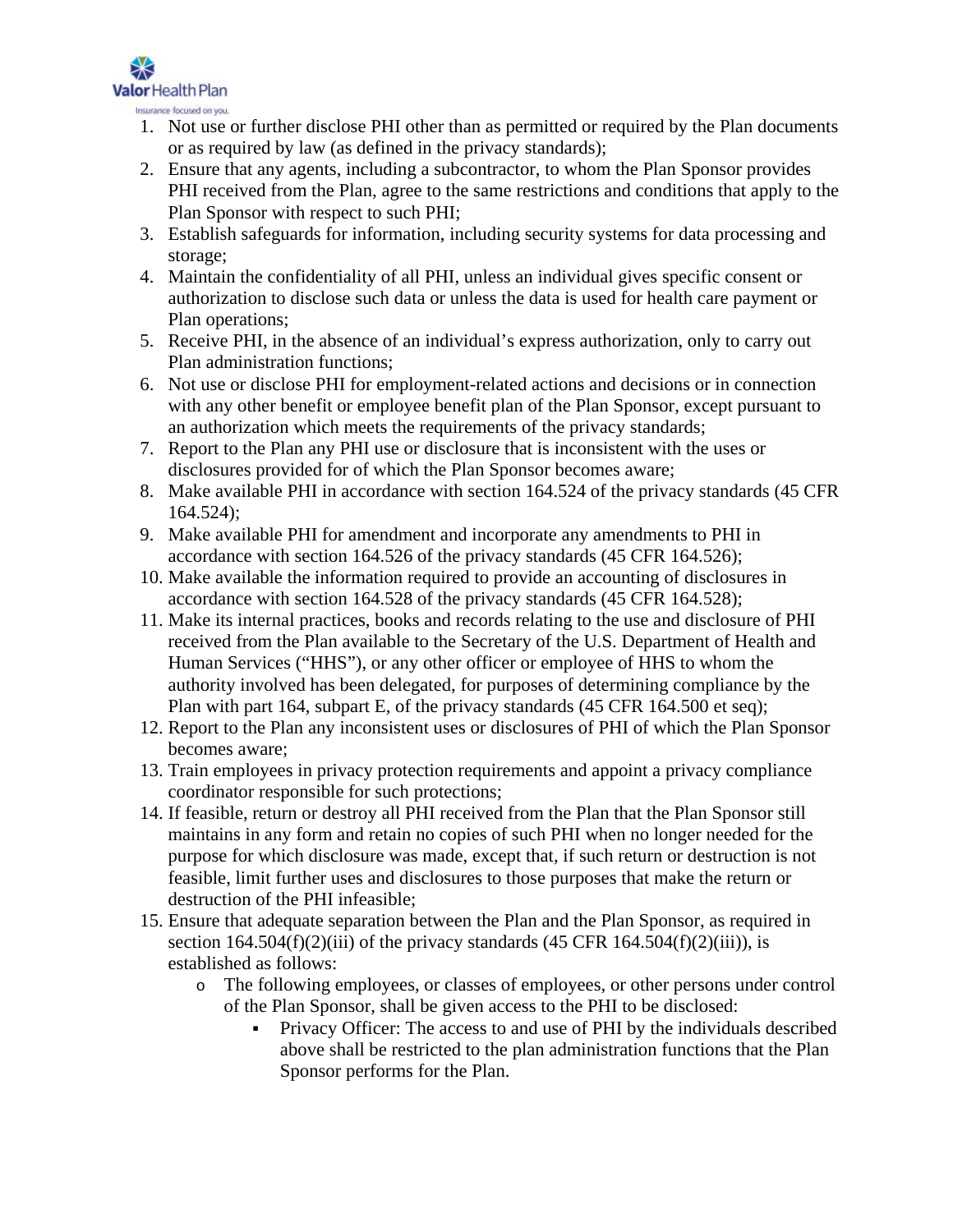

Insurance focused on you.

- 1. Not use or further disclose PHI other than as permitted or required by the Plan documents or as required by law (as defined in the privacy standards);
- 2. Ensure that any agents, including a subcontractor, to whom the Plan Sponsor provides PHI received from the Plan, agree to the same restrictions and conditions that apply to the Plan Sponsor with respect to such PHI;
- 3. Establish safeguards for information, including security systems for data processing and storage;
- 4. Maintain the confidentiality of all PHI, unless an individual gives specific consent or authorization to disclose such data or unless the data is used for health care payment or Plan operations;
- 5. Receive PHI, in the absence of an individual's express authorization, only to carry out Plan administration functions;
- 6. Not use or disclose PHI for employment-related actions and decisions or in connection with any other benefit or employee benefit plan of the Plan Sponsor, except pursuant to an authorization which meets the requirements of the privacy standards;
- 7. Report to the Plan any PHI use or disclosure that is inconsistent with the uses or disclosures provided for of which the Plan Sponsor becomes aware;
- 8. Make available PHI in accordance with section 164.524 of the privacy standards (45 CFR 164.524);
- 9. Make available PHI for amendment and incorporate any amendments to PHI in accordance with section 164.526 of the privacy standards (45 CFR 164.526);
- 10. Make available the information required to provide an accounting of disclosures in accordance with section 164.528 of the privacy standards (45 CFR 164.528);
- 11. Make its internal practices, books and records relating to the use and disclosure of PHI received from the Plan available to the Secretary of the U.S. Department of Health and Human Services ("HHS"), or any other officer or employee of HHS to whom the authority involved has been delegated, for purposes of determining compliance by the Plan with part 164, subpart E, of the privacy standards (45 CFR 164.500 et seq);
- 12. Report to the Plan any inconsistent uses or disclosures of PHI of which the Plan Sponsor becomes aware;
- 13. Train employees in privacy protection requirements and appoint a privacy compliance coordinator responsible for such protections;
- 14. If feasible, return or destroy all PHI received from the Plan that the Plan Sponsor still maintains in any form and retain no copies of such PHI when no longer needed for the purpose for which disclosure was made, except that, if such return or destruction is not feasible, limit further uses and disclosures to those purposes that make the return or destruction of the PHI infeasible;
- 15. Ensure that adequate separation between the Plan and the Plan Sponsor, as required in section  $164.504(f)(2)(iii)$  of the privacy standards  $(45 \text{ CFR } 164.504(f)(2)(iii))$ , is established as follows:
	- o The following employees, or classes of employees, or other persons under control of the Plan Sponsor, shall be given access to the PHI to be disclosed:
		- Privacy Officer: The access to and use of PHI by the individuals described above shall be restricted to the plan administration functions that the Plan Sponsor performs for the Plan.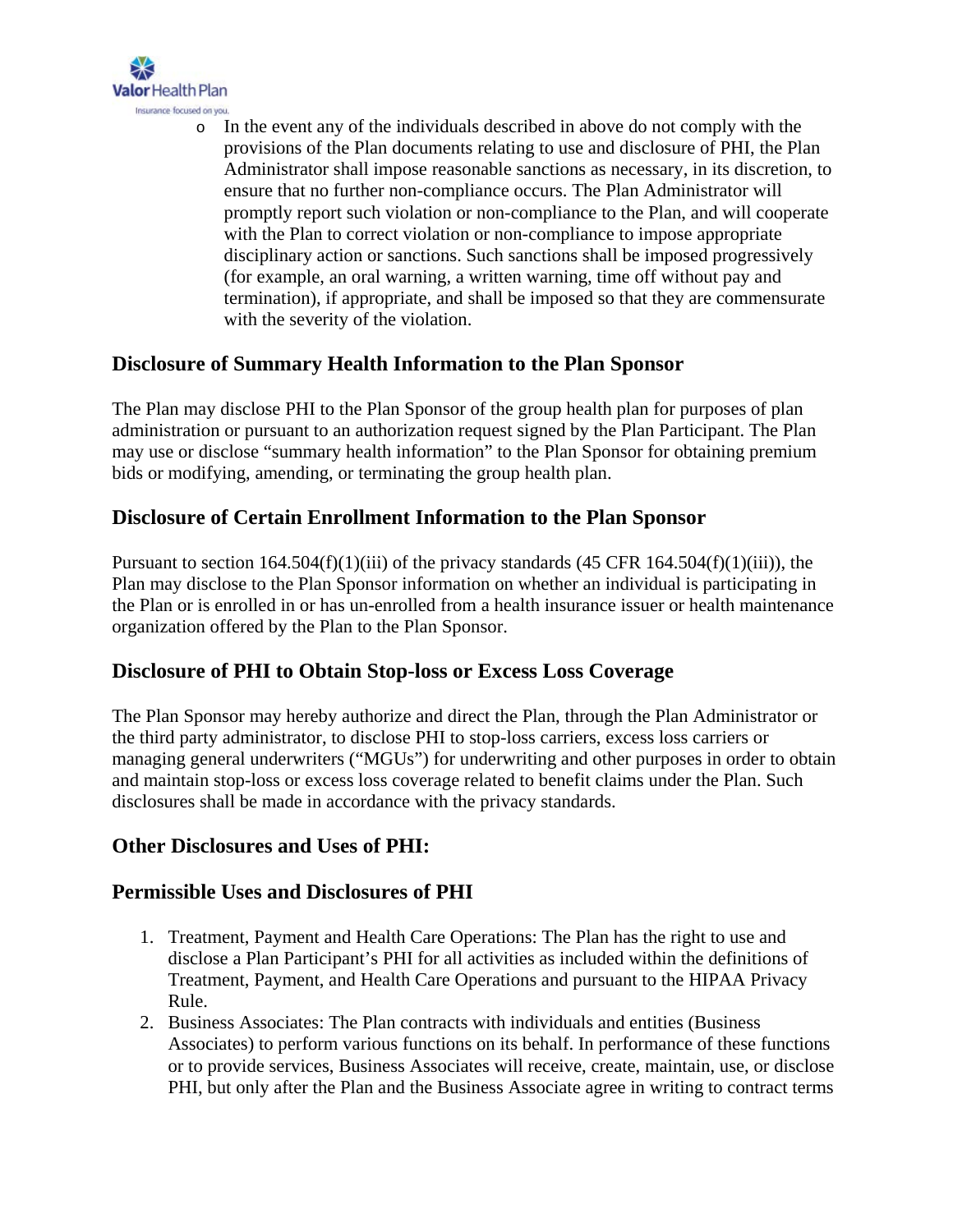

o In the event any of the individuals described in above do not comply with the provisions of the Plan documents relating to use and disclosure of PHI, the Plan Administrator shall impose reasonable sanctions as necessary, in its discretion, to ensure that no further non-compliance occurs. The Plan Administrator will promptly report such violation or non-compliance to the Plan, and will cooperate with the Plan to correct violation or non-compliance to impose appropriate disciplinary action or sanctions. Such sanctions shall be imposed progressively (for example, an oral warning, a written warning, time off without pay and termination), if appropriate, and shall be imposed so that they are commensurate with the severity of the violation.

#### **Disclosure of Summary Health Information to the Plan Sponsor**

The Plan may disclose PHI to the Plan Sponsor of the group health plan for purposes of plan administration or pursuant to an authorization request signed by the Plan Participant. The Plan may use or disclose "summary health information" to the Plan Sponsor for obtaining premium bids or modifying, amending, or terminating the group health plan.

#### **Disclosure of Certain Enrollment Information to the Plan Sponsor**

Pursuant to section  $164.504(f)(1)(iii)$  of the privacy standards  $(45 \text{ CFR } 164.504(f)(1)(iii))$ , the Plan may disclose to the Plan Sponsor information on whether an individual is participating in the Plan or is enrolled in or has un-enrolled from a health insurance issuer or health maintenance organization offered by the Plan to the Plan Sponsor.

# **Disclosure of PHI to Obtain Stop-loss or Excess Loss Coverage**

The Plan Sponsor may hereby authorize and direct the Plan, through the Plan Administrator or the third party administrator, to disclose PHI to stop-loss carriers, excess loss carriers or managing general underwriters ("MGUs") for underwriting and other purposes in order to obtain and maintain stop-loss or excess loss coverage related to benefit claims under the Plan. Such disclosures shall be made in accordance with the privacy standards.

#### **Other Disclosures and Uses of PHI:**

#### **Permissible Uses and Disclosures of PHI**

- 1. Treatment, Payment and Health Care Operations: The Plan has the right to use and disclose a Plan Participant's PHI for all activities as included within the definitions of Treatment, Payment, and Health Care Operations and pursuant to the HIPAA Privacy Rule.
- 2. Business Associates: The Plan contracts with individuals and entities (Business Associates) to perform various functions on its behalf. In performance of these functions or to provide services, Business Associates will receive, create, maintain, use, or disclose PHI, but only after the Plan and the Business Associate agree in writing to contract terms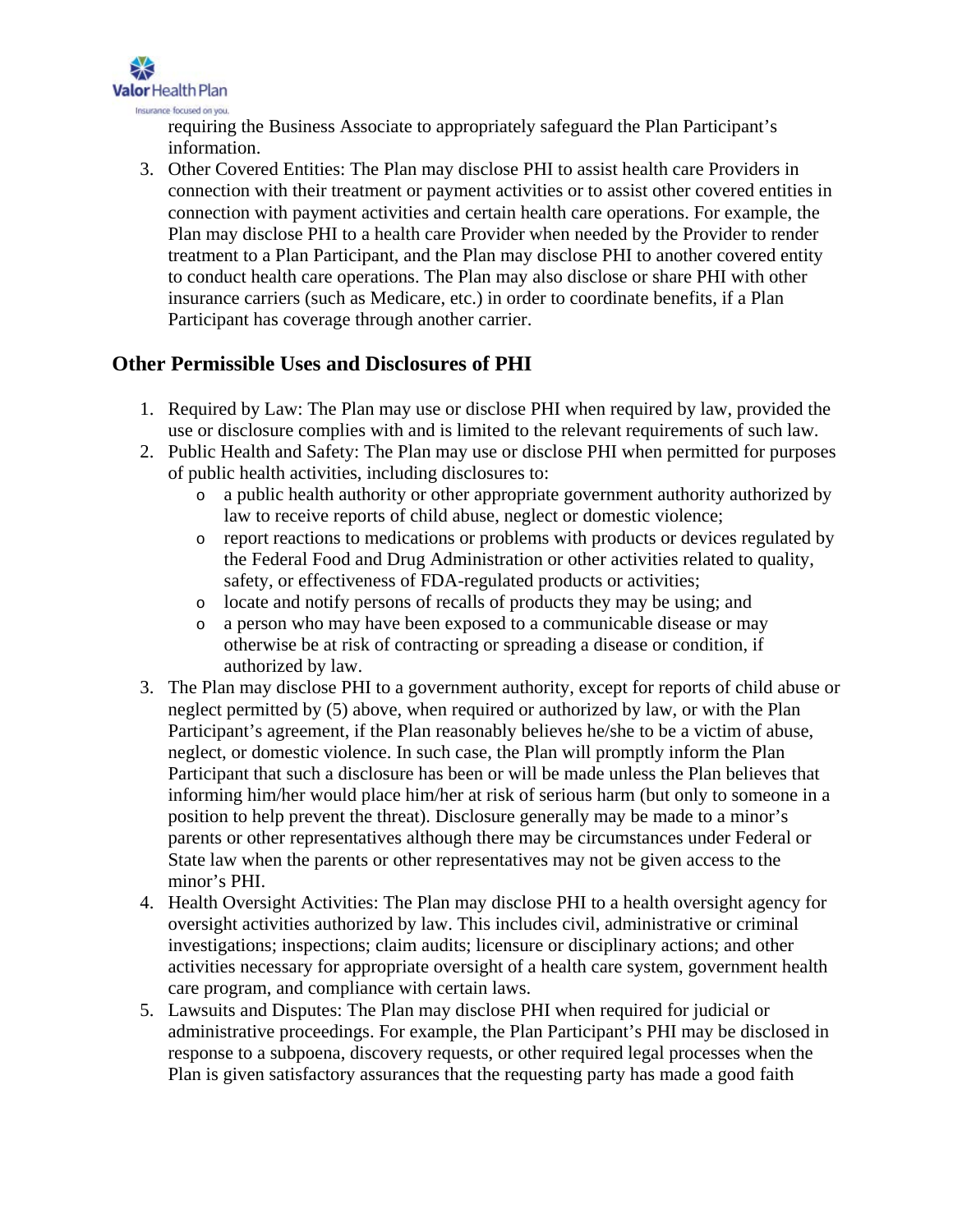

requiring the Business Associate to appropriately safeguard the Plan Participant's information.

3. Other Covered Entities: The Plan may disclose PHI to assist health care Providers in connection with their treatment or payment activities or to assist other covered entities in connection with payment activities and certain health care operations. For example, the Plan may disclose PHI to a health care Provider when needed by the Provider to render treatment to a Plan Participant, and the Plan may disclose PHI to another covered entity to conduct health care operations. The Plan may also disclose or share PHI with other insurance carriers (such as Medicare, etc.) in order to coordinate benefits, if a Plan Participant has coverage through another carrier.

#### **Other Permissible Uses and Disclosures of PHI**

- 1. Required by Law: The Plan may use or disclose PHI when required by law, provided the use or disclosure complies with and is limited to the relevant requirements of such law.
- 2. Public Health and Safety: The Plan may use or disclose PHI when permitted for purposes of public health activities, including disclosures to:
	- o a public health authority or other appropriate government authority authorized by law to receive reports of child abuse, neglect or domestic violence;
	- o report reactions to medications or problems with products or devices regulated by the Federal Food and Drug Administration or other activities related to quality, safety, or effectiveness of FDA-regulated products or activities;
	- o locate and notify persons of recalls of products they may be using; and
	- o a person who may have been exposed to a communicable disease or may otherwise be at risk of contracting or spreading a disease or condition, if authorized by law.
- 3. The Plan may disclose PHI to a government authority, except for reports of child abuse or neglect permitted by (5) above, when required or authorized by law, or with the Plan Participant's agreement, if the Plan reasonably believes he/she to be a victim of abuse, neglect, or domestic violence. In such case, the Plan will promptly inform the Plan Participant that such a disclosure has been or will be made unless the Plan believes that informing him/her would place him/her at risk of serious harm (but only to someone in a position to help prevent the threat). Disclosure generally may be made to a minor's parents or other representatives although there may be circumstances under Federal or State law when the parents or other representatives may not be given access to the minor's PHI.
- 4. Health Oversight Activities: The Plan may disclose PHI to a health oversight agency for oversight activities authorized by law. This includes civil, administrative or criminal investigations; inspections; claim audits; licensure or disciplinary actions; and other activities necessary for appropriate oversight of a health care system, government health care program, and compliance with certain laws.
- 5. Lawsuits and Disputes: The Plan may disclose PHI when required for judicial or administrative proceedings. For example, the Plan Participant's PHI may be disclosed in response to a subpoena, discovery requests, or other required legal processes when the Plan is given satisfactory assurances that the requesting party has made a good faith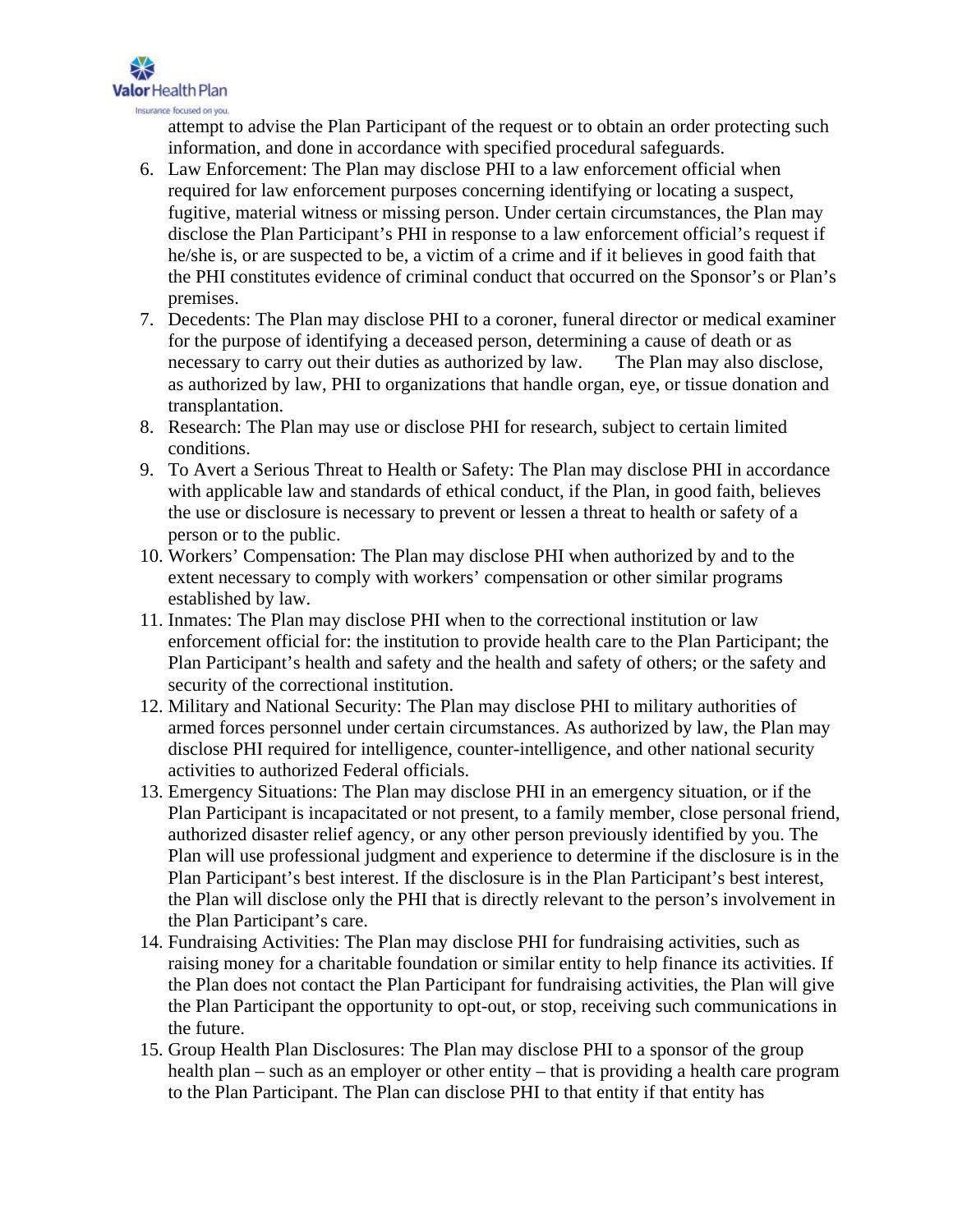

attempt to advise the Plan Participant of the request or to obtain an order protecting such information, and done in accordance with specified procedural safeguards.

- 6. Law Enforcement: The Plan may disclose PHI to a law enforcement official when required for law enforcement purposes concerning identifying or locating a suspect, fugitive, material witness or missing person. Under certain circumstances, the Plan may disclose the Plan Participant's PHI in response to a law enforcement official's request if he/she is, or are suspected to be, a victim of a crime and if it believes in good faith that the PHI constitutes evidence of criminal conduct that occurred on the Sponsor's or Plan's premises.
- 7. Decedents: The Plan may disclose PHI to a coroner, funeral director or medical examiner for the purpose of identifying a deceased person, determining a cause of death or as necessary to carry out their duties as authorized by law. The Plan may also disclose, as authorized by law, PHI to organizations that handle organ, eye, or tissue donation and transplantation.
- 8. Research: The Plan may use or disclose PHI for research, subject to certain limited conditions.
- 9. To Avert a Serious Threat to Health or Safety: The Plan may disclose PHI in accordance with applicable law and standards of ethical conduct, if the Plan, in good faith, believes the use or disclosure is necessary to prevent or lessen a threat to health or safety of a person or to the public.
- 10. Workers' Compensation: The Plan may disclose PHI when authorized by and to the extent necessary to comply with workers' compensation or other similar programs established by law.
- 11. Inmates: The Plan may disclose PHI when to the correctional institution or law enforcement official for: the institution to provide health care to the Plan Participant; the Plan Participant's health and safety and the health and safety of others; or the safety and security of the correctional institution.
- 12. Military and National Security: The Plan may disclose PHI to military authorities of armed forces personnel under certain circumstances. As authorized by law, the Plan may disclose PHI required for intelligence, counter-intelligence, and other national security activities to authorized Federal officials.
- 13. Emergency Situations: The Plan may disclose PHI in an emergency situation, or if the Plan Participant is incapacitated or not present, to a family member, close personal friend, authorized disaster relief agency, or any other person previously identified by you. The Plan will use professional judgment and experience to determine if the disclosure is in the Plan Participant's best interest. If the disclosure is in the Plan Participant's best interest, the Plan will disclose only the PHI that is directly relevant to the person's involvement in the Plan Participant's care.
- 14. Fundraising Activities: The Plan may disclose PHI for fundraising activities, such as raising money for a charitable foundation or similar entity to help finance its activities. If the Plan does not contact the Plan Participant for fundraising activities, the Plan will give the Plan Participant the opportunity to opt-out, or stop, receiving such communications in the future.
- 15. Group Health Plan Disclosures: The Plan may disclose PHI to a sponsor of the group health plan – such as an employer or other entity – that is providing a health care program to the Plan Participant. The Plan can disclose PHI to that entity if that entity has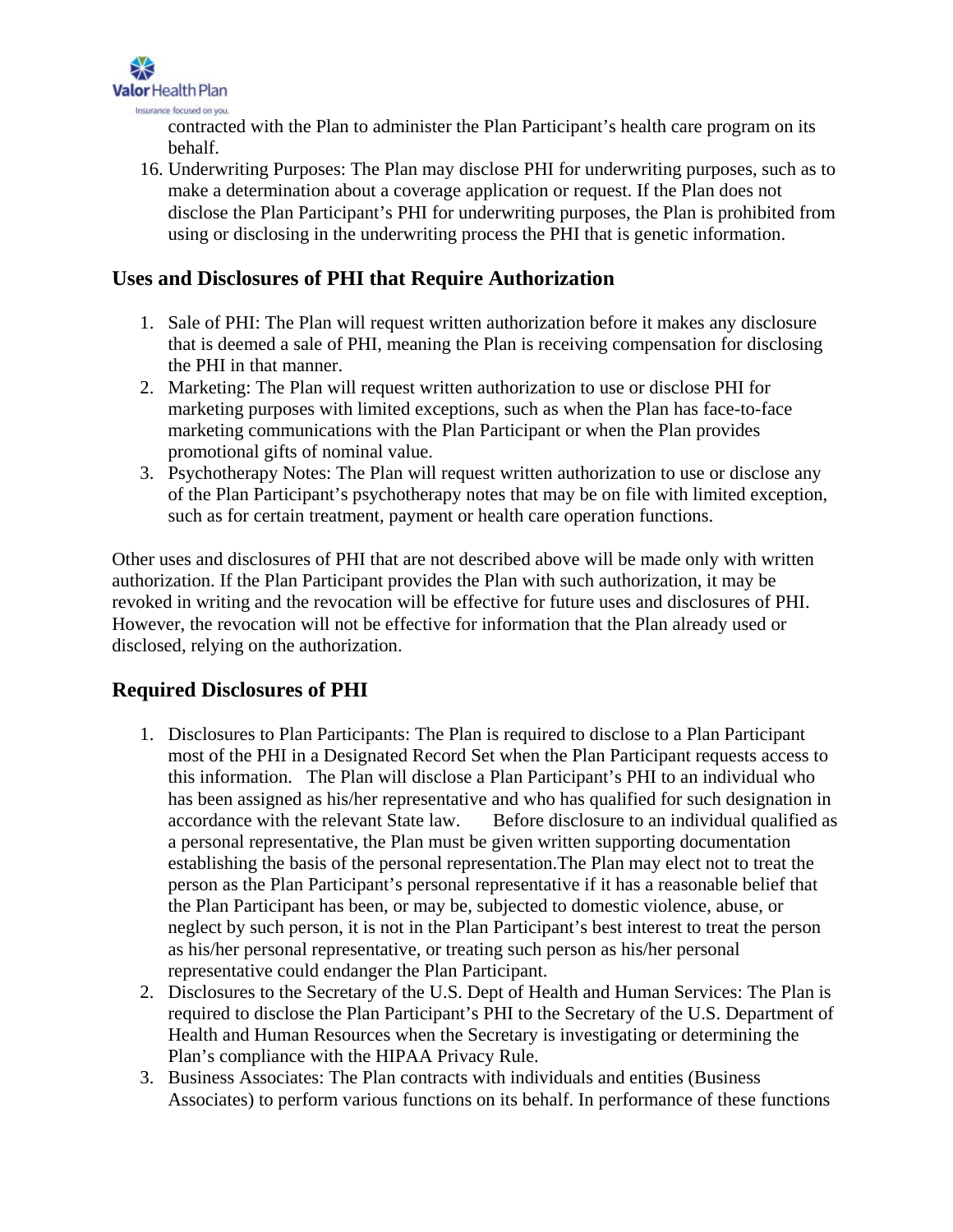

contracted with the Plan to administer the Plan Participant's health care program on its behalf.

16. Underwriting Purposes: The Plan may disclose PHI for underwriting purposes, such as to make a determination about a coverage application or request. If the Plan does not disclose the Plan Participant's PHI for underwriting purposes, the Plan is prohibited from using or disclosing in the underwriting process the PHI that is genetic information.

#### **Uses and Disclosures of PHI that Require Authorization**

- 1. Sale of PHI: The Plan will request written authorization before it makes any disclosure that is deemed a sale of PHI, meaning the Plan is receiving compensation for disclosing the PHI in that manner.
- 2. Marketing: The Plan will request written authorization to use or disclose PHI for marketing purposes with limited exceptions, such as when the Plan has face-to-face marketing communications with the Plan Participant or when the Plan provides promotional gifts of nominal value.
- 3. Psychotherapy Notes: The Plan will request written authorization to use or disclose any of the Plan Participant's psychotherapy notes that may be on file with limited exception, such as for certain treatment, payment or health care operation functions.

Other uses and disclosures of PHI that are not described above will be made only with written authorization. If the Plan Participant provides the Plan with such authorization, it may be revoked in writing and the revocation will be effective for future uses and disclosures of PHI. However, the revocation will not be effective for information that the Plan already used or disclosed, relying on the authorization.

# **Required Disclosures of PHI**

- 1. Disclosures to Plan Participants: The Plan is required to disclose to a Plan Participant most of the PHI in a Designated Record Set when the Plan Participant requests access to this information. The Plan will disclose a Plan Participant's PHI to an individual who has been assigned as his/her representative and who has qualified for such designation in accordance with the relevant State law. Before disclosure to an individual qualified as a personal representative, the Plan must be given written supporting documentation establishing the basis of the personal representation.The Plan may elect not to treat the person as the Plan Participant's personal representative if it has a reasonable belief that the Plan Participant has been, or may be, subjected to domestic violence, abuse, or neglect by such person, it is not in the Plan Participant's best interest to treat the person as his/her personal representative, or treating such person as his/her personal representative could endanger the Plan Participant.
- 2. Disclosures to the Secretary of the U.S. Dept of Health and Human Services: The Plan is required to disclose the Plan Participant's PHI to the Secretary of the U.S. Department of Health and Human Resources when the Secretary is investigating or determining the Plan's compliance with the HIPAA Privacy Rule.
- 3. Business Associates: The Plan contracts with individuals and entities (Business Associates) to perform various functions on its behalf. In performance of these functions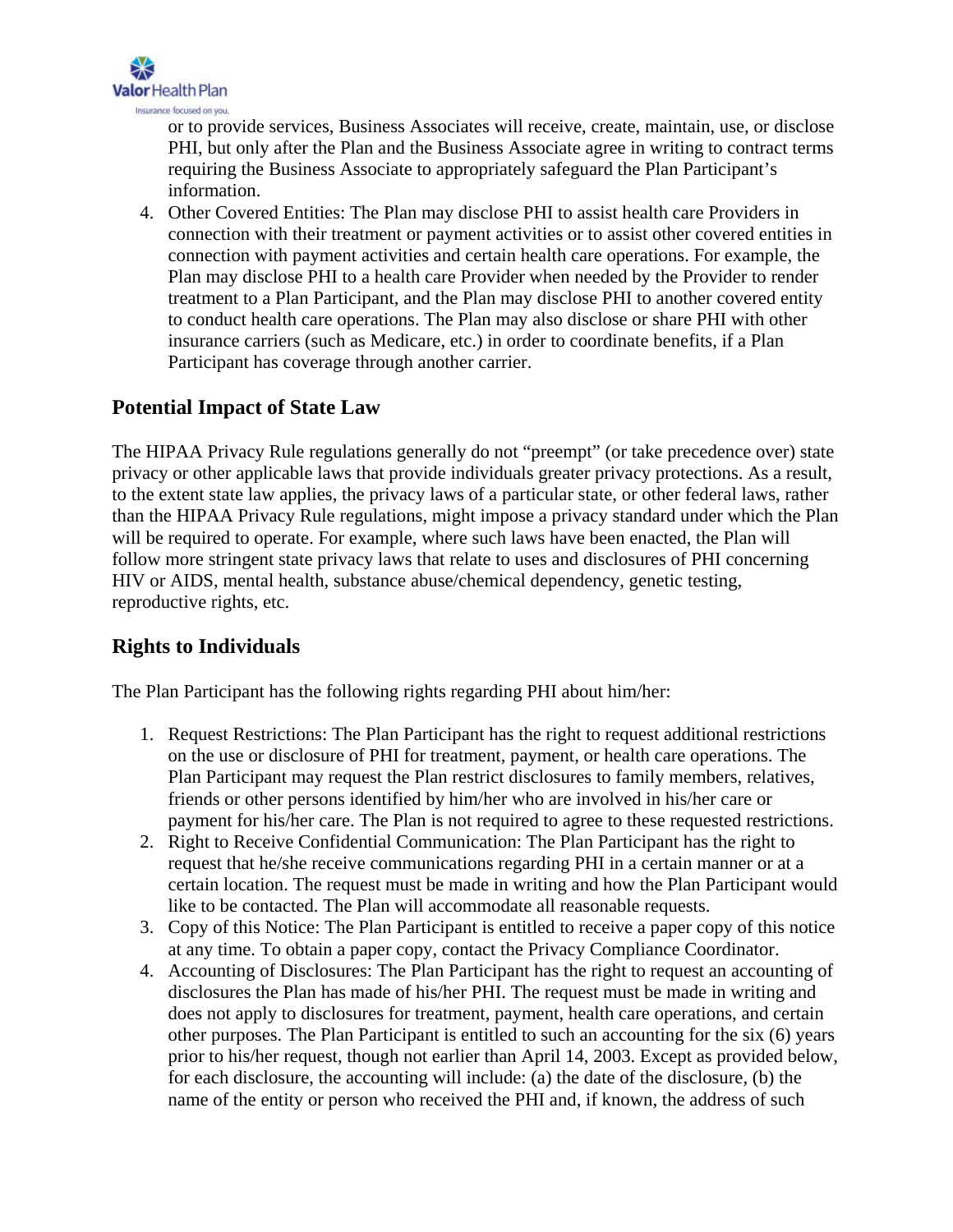

or to provide services, Business Associates will receive, create, maintain, use, or disclose PHI, but only after the Plan and the Business Associate agree in writing to contract terms requiring the Business Associate to appropriately safeguard the Plan Participant's information.

4. Other Covered Entities: The Plan may disclose PHI to assist health care Providers in connection with their treatment or payment activities or to assist other covered entities in connection with payment activities and certain health care operations. For example, the Plan may disclose PHI to a health care Provider when needed by the Provider to render treatment to a Plan Participant, and the Plan may disclose PHI to another covered entity to conduct health care operations. The Plan may also disclose or share PHI with other insurance carriers (such as Medicare, etc.) in order to coordinate benefits, if a Plan Participant has coverage through another carrier.

#### **Potential Impact of State Law**

The HIPAA Privacy Rule regulations generally do not "preempt" (or take precedence over) state privacy or other applicable laws that provide individuals greater privacy protections. As a result, to the extent state law applies, the privacy laws of a particular state, or other federal laws, rather than the HIPAA Privacy Rule regulations, might impose a privacy standard under which the Plan will be required to operate. For example, where such laws have been enacted, the Plan will follow more stringent state privacy laws that relate to uses and disclosures of PHI concerning HIV or AIDS, mental health, substance abuse/chemical dependency, genetic testing, reproductive rights, etc.

# **Rights to Individuals**

The Plan Participant has the following rights regarding PHI about him/her:

- 1. Request Restrictions: The Plan Participant has the right to request additional restrictions on the use or disclosure of PHI for treatment, payment, or health care operations. The Plan Participant may request the Plan restrict disclosures to family members, relatives, friends or other persons identified by him/her who are involved in his/her care or payment for his/her care. The Plan is not required to agree to these requested restrictions.
- 2. Right to Receive Confidential Communication: The Plan Participant has the right to request that he/she receive communications regarding PHI in a certain manner or at a certain location. The request must be made in writing and how the Plan Participant would like to be contacted. The Plan will accommodate all reasonable requests.
- 3. Copy of this Notice: The Plan Participant is entitled to receive a paper copy of this notice at any time. To obtain a paper copy, contact the Privacy Compliance Coordinator.
- 4. Accounting of Disclosures: The Plan Participant has the right to request an accounting of disclosures the Plan has made of his/her PHI. The request must be made in writing and does not apply to disclosures for treatment, payment, health care operations, and certain other purposes. The Plan Participant is entitled to such an accounting for the six (6) years prior to his/her request, though not earlier than April 14, 2003. Except as provided below, for each disclosure, the accounting will include: (a) the date of the disclosure, (b) the name of the entity or person who received the PHI and, if known, the address of such